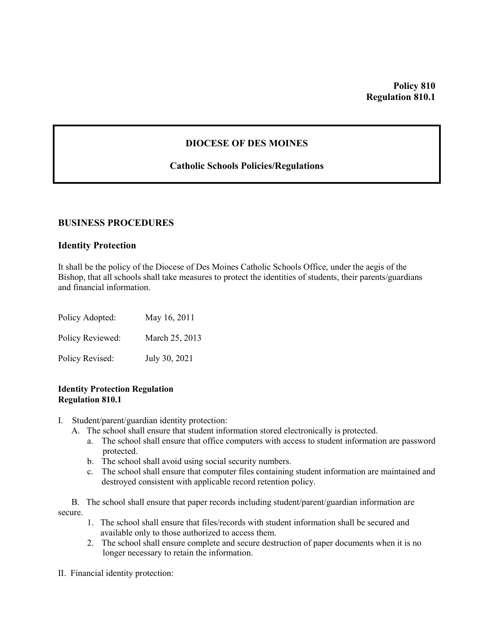# **DIOCESE OF DES MOINES**

## **Catholic Schools Policies/Regulations**

## **BUSINESS PROCEDURES**

### **Identity Protection**

It shall be the policy of the Diocese of Des Moines Catholic Schools Office, under the aegis of the Bishop, that all schools shall take measures to protect the identities of students, their parents/guardians and financial information.

| Policy Adopted:  | May 16, 2011   |
|------------------|----------------|
| Policy Reviewed: | March 25, 2013 |
| Policy Revised:  | July 30, 2021  |

### **Identity Protection Regulation Regulation 810.1**

- I. Student/parent/guardian identity protection:
	- A. The school shall ensure that student information stored electronically is protected.
		- a. The school shall ensure that office computers with access to student information are password protected.
		- b. The school shall avoid using social security numbers.
		- c. The school shall ensure that computer files containing student information are maintained and destroyed consistent with applicable record retention policy.

 B. The school shall ensure that paper records including student/parent/guardian information are secure.

- 1. The school shall ensure that files/records with student information shall be secured and available only to those authorized to access them.
- 2. The school shall ensure complete and secure destruction of paper documents when it is no longer necessary to retain the information.

II. Financial identity protection: